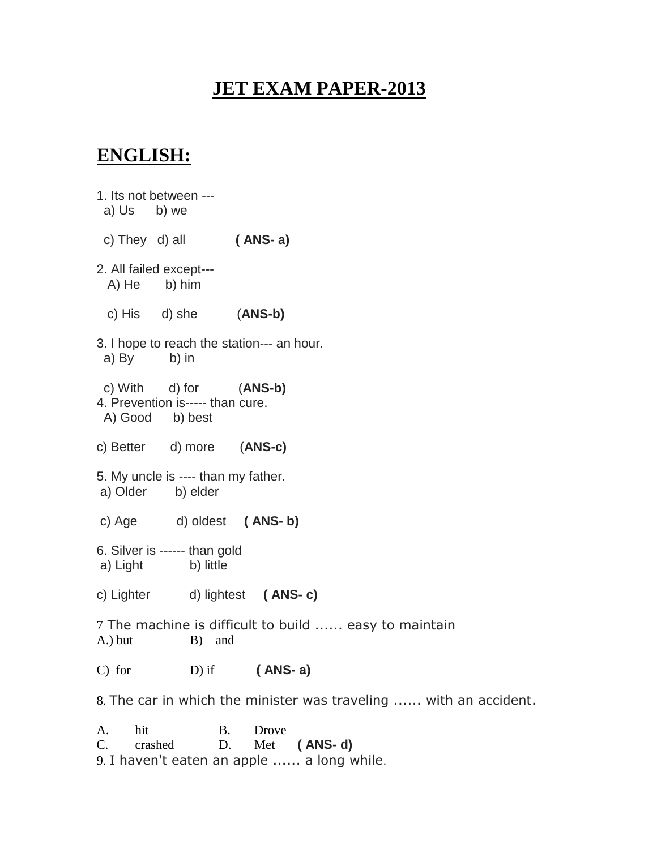# **JET EXAM PAPER-2013**

# **ENGLISH:**

1. Its not between -- a) Us b) we c) They d) all **( ANS- a)** 2. All failed except--- A) He b) him c) His d) she (**ANS-b)** 3. I hope to reach the station--- an hour. a) By b) in c) With d) for (**ANS-b)** 4. Prevention is----- than cure. A) Good b) best c) Better d) more (**ANS-c)** 5. My uncle is ---- than my father. a) Older b) elder c) Age d) oldest **( ANS- b)** 6. Silver is ------ than gold a) Light b) little c) Lighter d) lightest **( ANS- c)** 7 The machine is difficult to build ...... easy to maintain A.) but B) and C) for D) if **( ANS- a)** 8. The car in which the minister was traveling ...... with an accident. A. hit B. Drove

C. crashed D. Met **( ANS- d)** 9. I haven't eaten an apple ...... a long while.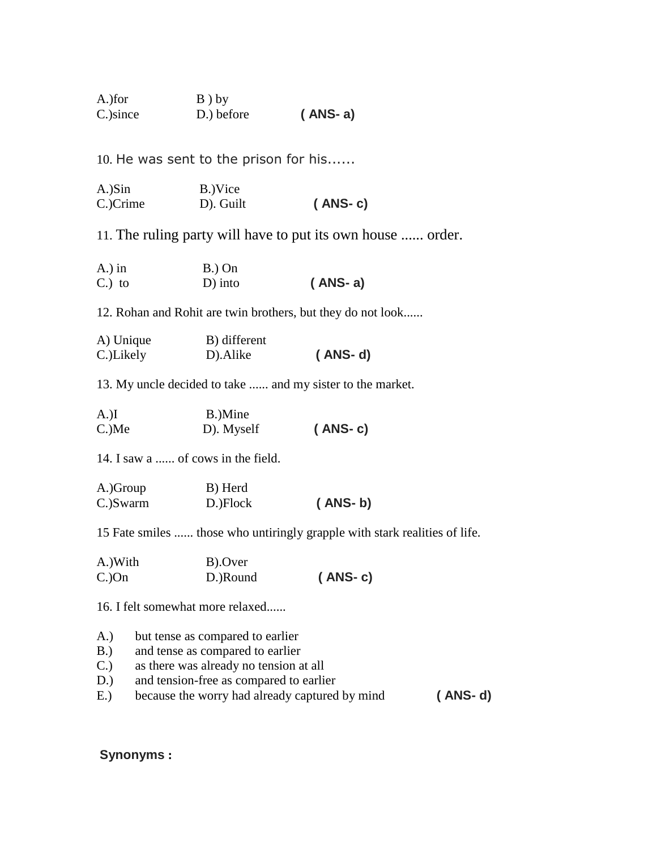A.)for B ) by C.)since D.) before **( ANS- a)**

10. He was sent to the prison for his......

| A.)Sin   | B.)Vice   |           |
|----------|-----------|-----------|
| C.)Crime | D). Guilt | $(ANS-c)$ |

11. The ruling party will have to put its own house ...... order.

| $A$ .) in | $B.$ ) On  |           |
|-----------|------------|-----------|
| $C.$ ) to | $D$ ) into | $(ANS-a)$ |

12. Rohan and Rohit are twin brothers, but they do not look......

| A) Unique | B) different |           |
|-----------|--------------|-----------|
| C.)Likely | D). Alike    | $(ANS-d)$ |

13. My uncle decided to take ...... and my sister to the market.

| $A.$ )I     | B.)Mine    |           |
|-------------|------------|-----------|
| $C_{.}$ )Me | D). Myself | $(ANS-c)$ |

14. I saw a ...... of cows in the field.

| A.)Group | B) Herd  |           |
|----------|----------|-----------|
| C.)Swarm | D.)Flock | $(ANS-b)$ |

15 Fate smiles ...... those who untiringly grapple with stark realities of life.

| A.)With  | B).Over  |           |
|----------|----------|-----------|
| $C$ .)On | D.)Round | $(ANS-c)$ |

16. I felt somewhat more relaxed......

- A.) but tense as compared to earlier
- B.) and tense as compared to earlier
- C.) as there was already no tension at all
- D.) and tension-free as compared to earlier
- E.) because the worry had already captured by mind **( ANS- d)**

### **Synonyms :**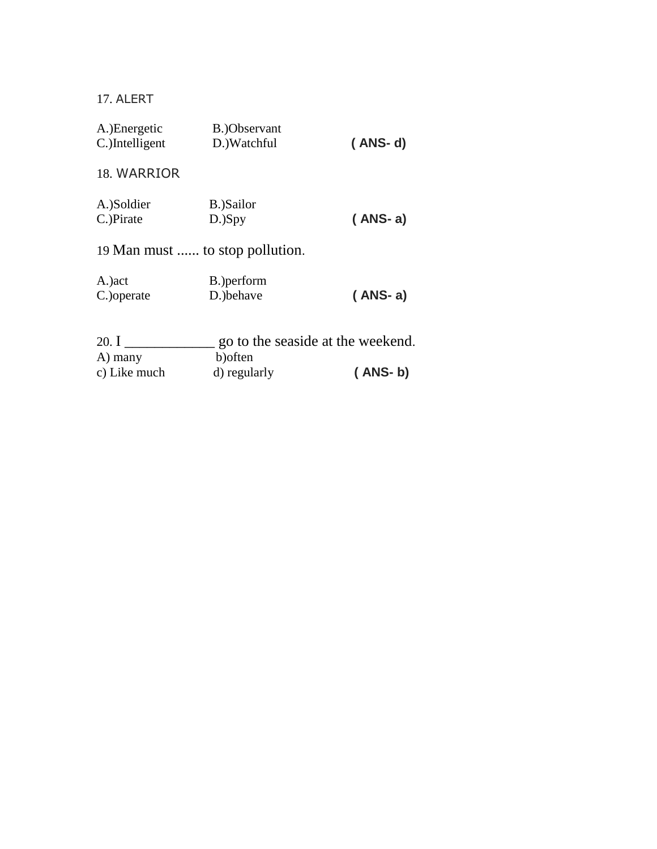17. ALERT

| A.) Energetic<br>C.)Intelligent | B.)Observant<br>D.) Watchful    | $(ANS-d)$                         |
|---------------------------------|---------------------------------|-----------------------------------|
| 18. WARRIOR                     |                                 |                                   |
| A.)Soldier                      | B.)Sailor                       |                                   |
| C.)Pirate                       | $D.$ ) $Spy$                    | $(ANS-a)$                         |
|                                 | 19 Man must  to stop pollution. |                                   |
| A.) act                         | B.) perform                     |                                   |
| C.) operate                     | D.)behave                       | $(ANS-a)$                         |
| 20. $I$                         |                                 | go to the seaside at the weekend. |
| A) many                         | b) often                        |                                   |
| c) Like much                    | d) regularly                    | $(ANS-b)$                         |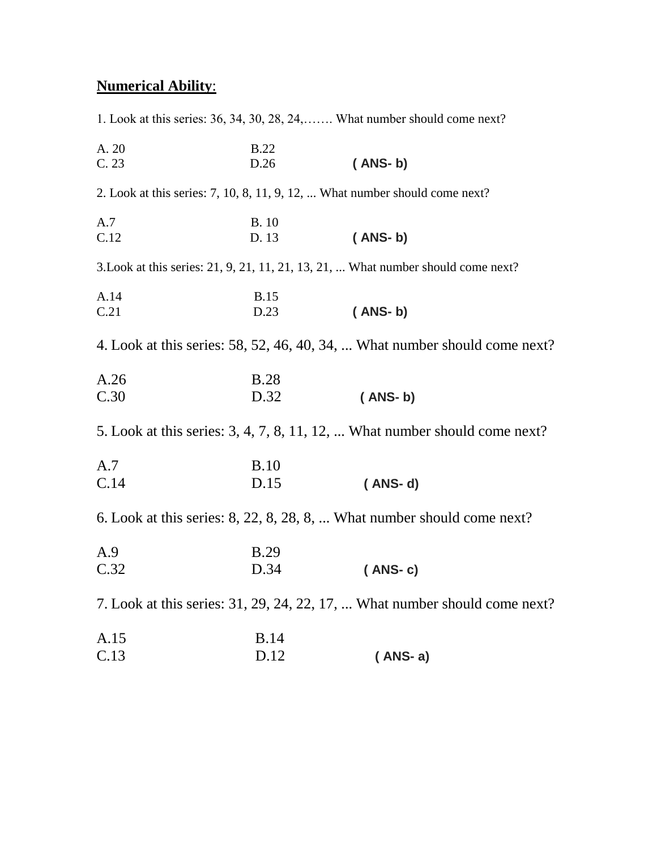# **Numerical Ability**:

1. Look at this series: 36, 34, 30, 28, 24,……. What number should come next? A. 20 B.22 C. 23 D.26 **( ANS- b)** 2. Look at this series: 7, 10, 8, 11, 9, 12, ... What number should come next? A.7 B. 10 C.12 D. 13 **( ANS- b)** 3.Look at this series: 21, 9, 21, 11, 21, 13, 21, ... What number should come next? A.14 B.15 C.21 D.23 **( ANS- b)** 4. Look at this series: 58, 52, 46, 40, 34, ... What number should come next? A.26 B.28 C.30 D.32 **( ANS- b)** 5. Look at this series: 3, 4, 7, 8, 11, 12, ... What number should come next? A.7 B.10 C.14 D.15 **( ANS- d)** 6. Look at this series: 8, 22, 8, 28, 8, ... What number should come next? A.9 B.29 C.32 D.34 **( ANS- c)** 7. Look at this series: 31, 29, 24, 22, 17, ... What number should come next?

| A.15 | <b>B.14</b> |           |
|------|-------------|-----------|
| C.13 | D.12        | $(ANS-a)$ |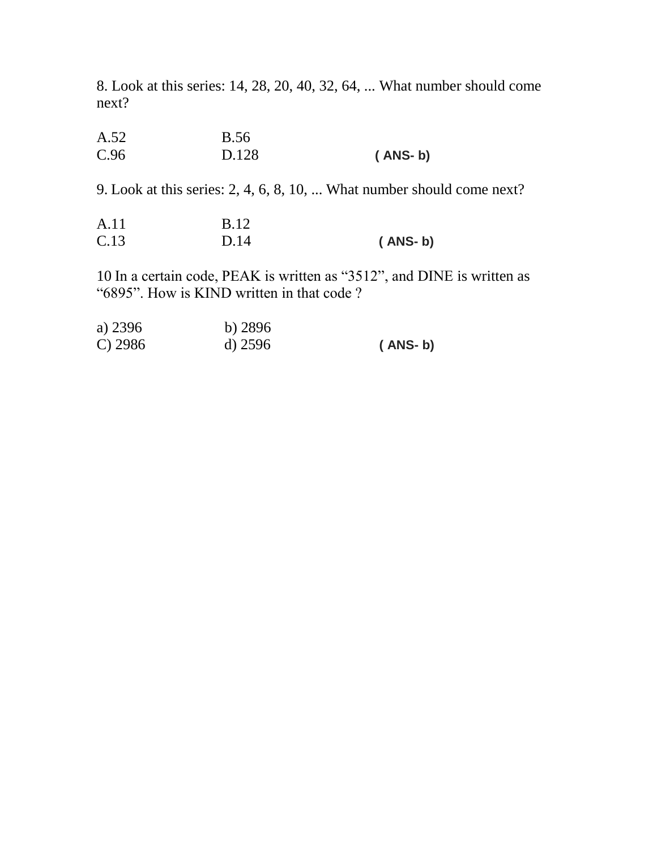8. Look at this series: 14, 28, 20, 40, 32, 64, ... What number should come next?

| A.52 | <b>B.56</b> |           |
|------|-------------|-----------|
| C.96 | D.128       | $(ANS-b)$ |

9. Look at this series: 2, 4, 6, 8, 10, ... What number should come next?

| A.11 | <b>B.12</b> |           |
|------|-------------|-----------|
| C.13 | D.14        | ( ANS- b) |

10 In a certain code, PEAK is written as "3512", and DINE is written as "6895". How is KIND written in that code ?

| a) 2396    | $b)$ 2896 |           |
|------------|-----------|-----------|
| $C$ ) 2986 | $d)$ 2596 | $(ANS-b)$ |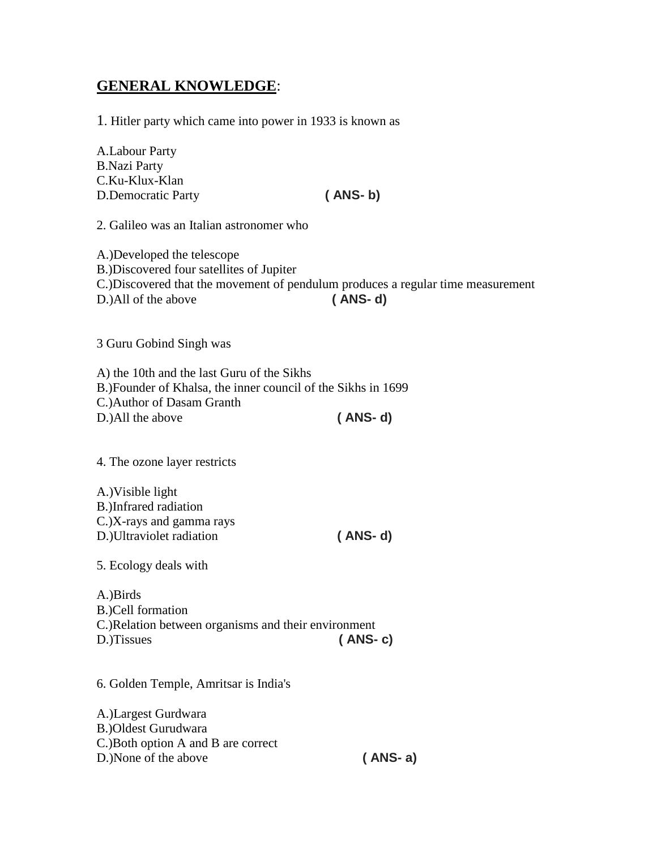# **GENERAL KNOWLEDGE**:

1. Hitler party which came into power in 1933 is known as

A.Labour Party B.Nazi Party C.Ku-Klux-Klan D.Democratic Party **( ANS- b)**

2. Galileo was an Italian astronomer who

A.)Developed the telescope B.)Discovered four satellites of Jupiter C.)Discovered that the movement of pendulum produces a regular time measurement D.)All of the above **( ANS- d)**

3 Guru Gobind Singh was

A) the 10th and the last Guru of the Sikhs B.)Founder of Khalsa, the inner council of the Sikhs in 1699 C.)Author of Dasam Granth D.)All the above **( ANS- d)**

4. The ozone layer restricts

A.)Visible light B.)Infrared radiation C.)X-rays and gamma rays D.)Ultraviolet radiation **( ANS- d)**

5. Ecology deals with

A.)Birds B.)Cell formation C.)Relation between organisms and their environment D.)Tissues **( ANS- c)**

6. Golden Temple, Amritsar is India's

A.)Largest Gurdwara B.)Oldest Gurudwara C.)Both option A and B are correct D.)None of the above **( ANS- a)**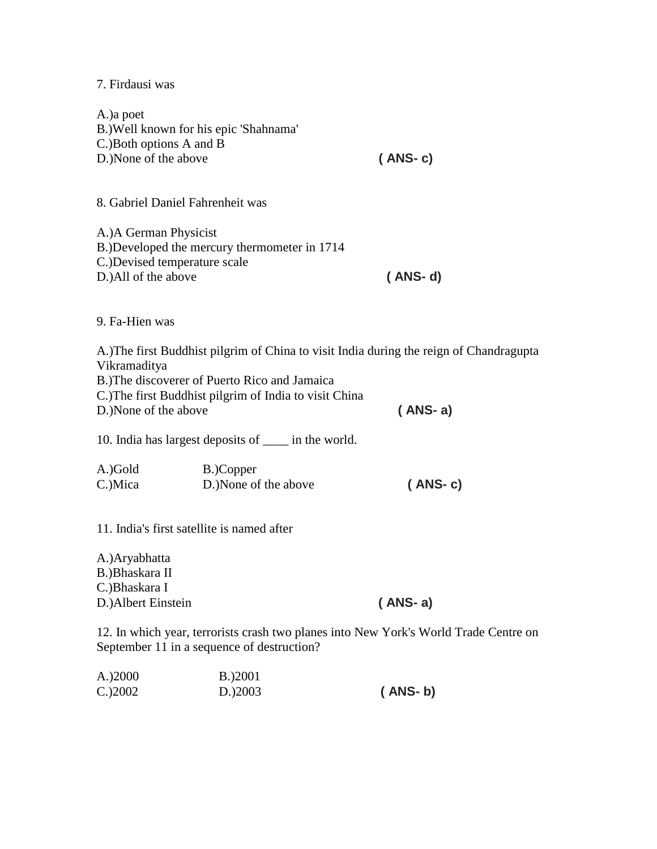7. Firdausi was

A.)a poet B.)Well known for his epic 'Shahnama' C.)Both options A and B D.)None of the above **( ANS- c)** 8. Gabriel Daniel Fahrenheit was A.)A German Physicist B.)Developed the mercury thermometer in 1714 C.)Devised temperature scale D.)All of the above **( ANS- d)** 9. Fa-Hien was A.)The first Buddhist pilgrim of China to visit India during the reign of Chandragupta Vikramaditya B.)The discoverer of Puerto Rico and Jamaica C.)The first Buddhist pilgrim of India to visit China D.)None of the above **( ANS- a)** 10. India has largest deposits of \_\_\_\_ in the world. A.)Gold B.)Copper C.)Mica D.)None of the above **( ANS- c)** 11. India's first satellite is named after A.)Aryabhatta B.)Bhaskara II C.)Bhaskara I D.)Albert Einstein **( ANS- a)** 12. In which year, terrorists crash two planes into New York's World Trade Centre on September 11 in a sequence of destruction?

A.)2000 B.)2001 C.)2002 D.)2003 **( ANS- b)**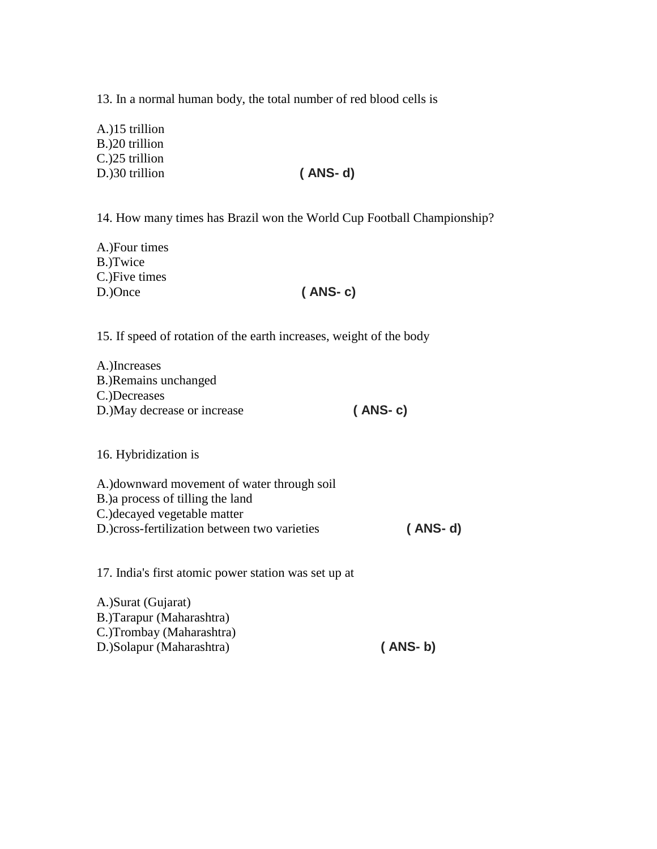13. In a normal human body, the total number of red blood cells is

A.)15 trillion B.)20 trillion C.)25 trillion D.)30 trillion **( ANS- d)**

14. How many times has Brazil won the World Cup Football Championship?

A.)Four times B.)Twice C.)Five times D.)Once **( ANS- c)**

15. If speed of rotation of the earth increases, weight of the body

| A.)Increases                 |           |
|------------------------------|-----------|
| B.) Remains unchanged        |           |
| C.)Decreases                 |           |
| D.) May decrease or increase | $(ANS-c)$ |

16. Hybridization is

A.)downward movement of water through soil B.)a process of tilling the land C.)decayed vegetable matter D.)cross-fertilization between two varieties **( ANS- d)**

17. India's first atomic power station was set up at

A.)Surat (Gujarat) B.)Tarapur (Maharashtra) C.)Trombay (Maharashtra) D.)Solapur (Maharashtra) **( ANS- b)**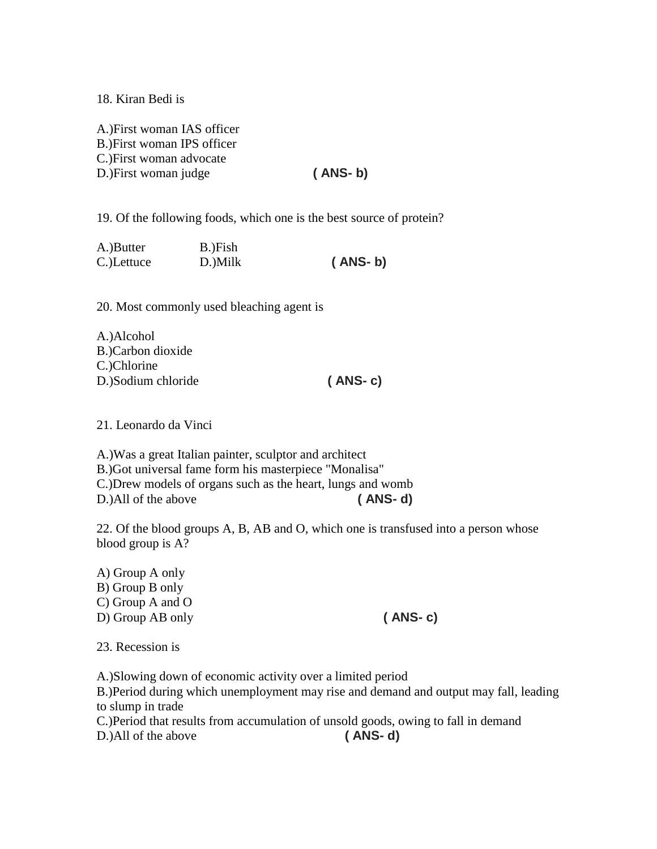18. Kiran Bedi is

A.)First woman IAS officer B.)First woman IPS officer C.)First woman advocate D.)First woman judge **( ANS- b)**

19. Of the following foods, which one is the best source of protein?

| A.)Butter  | B.)Fish |           |
|------------|---------|-----------|
| C.)Lettuce | D.)Milk | $(ANS-b)$ |

20. Most commonly used bleaching agent is

| A.)Alcohol         |           |
|--------------------|-----------|
| B.)Carbon dioxide  |           |
| C.)Chlorine        |           |
| D.)Sodium chloride | $(ANS-c)$ |

21. Leonardo da Vinci

A.)Was a great Italian painter, sculptor and architect B.)Got universal fame form his masterpiece "Monalisa" C.)Drew models of organs such as the heart, lungs and womb D.)All of the above **( ANS- d)**

22. Of the blood groups A, B, AB and O, which one is transfused into a person whose blood group is A?

A) Group A only B) Group B only C) Group A and O D) Group AB only **( ANS- c)**

23. Recession is

A.)Slowing down of economic activity over a limited period

B.)Period during which unemployment may rise and demand and output may fall, leading to slump in trade

C.)Period that results from accumulation of unsold goods, owing to fall in demand

D.)All of the above **( ANS- d)**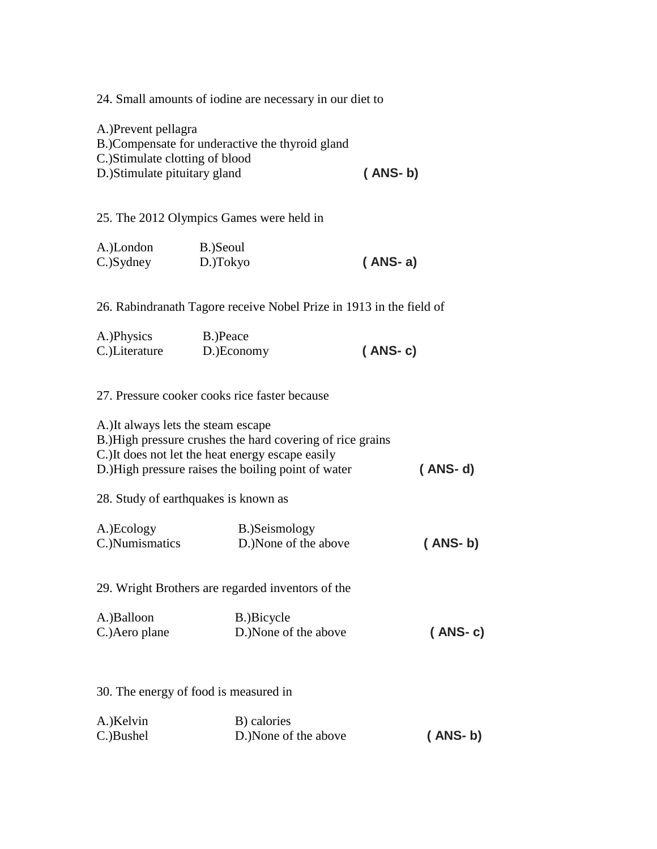24. Small amounts of iodine are necessary in our diet to

A.)Prevent pellagra B.)Compensate for underactive the thyroid gland C.)Stimulate clotting of blood D.)Stimulate pituitary gland **( ANS- b)**

25. The 2012 Olympics Games were held in

| A.)London | B.)Seoul |           |
|-----------|----------|-----------|
| C.)Sydney | D.)Tokyo | $(ANS-a)$ |

26. Rabindranath Tagore receive Nobel Prize in 1913 in the field of

| A.)Physics    | B.)Peace   |           |
|---------------|------------|-----------|
| C.)Literature | D.)Economy | $(ANS-c)$ |

### 27. Pressure cooker cooks rice faster because

| A.) It always lets the steam escape<br>28. Study of earthquakes is known as | B.)High pressure crushes the hard covering of rice grains<br>C.) It does not let the heat energy escape easily<br>D.) High pressure raises the boiling point of water | $(ANS-d)$ |
|-----------------------------------------------------------------------------|-----------------------------------------------------------------------------------------------------------------------------------------------------------------------|-----------|
| A.)Ecology<br>C.) Numismatics                                               | B.)Seismology<br>D.)None of the above                                                                                                                                 | $(ANS-b)$ |
| A.)Balloon<br>C.) Aero plane                                                | 29. Wright Brothers are regarded inventors of the<br>B.)Bicycle<br>D.)None of the above                                                                               | $(ANS-c)$ |
| 30. The energy of food is measured in<br>A.)Kelvin                          | B) calories                                                                                                                                                           |           |
| C.)Bushel                                                                   | D.) None of the above                                                                                                                                                 | (ANS-b)   |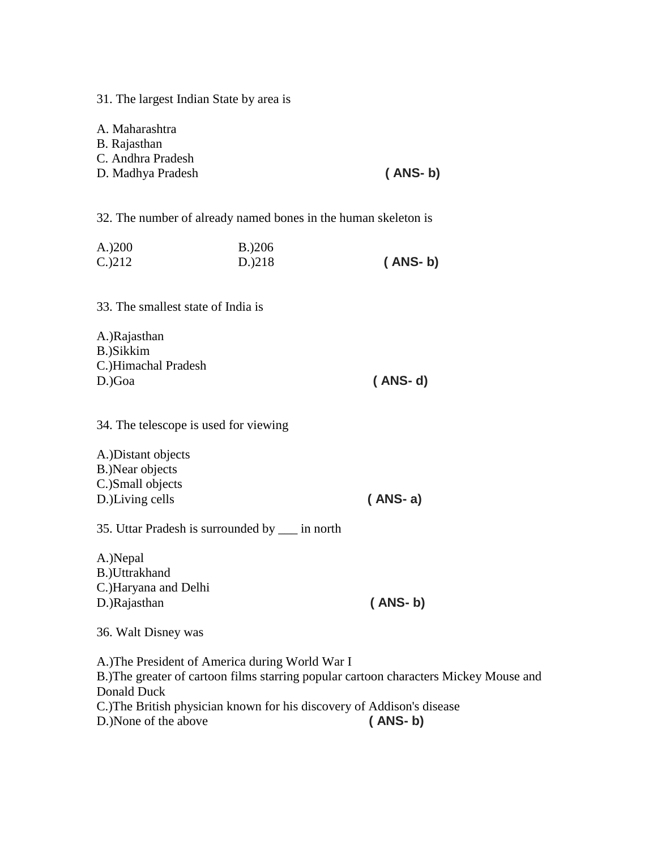31. The largest Indian State by area is

A. Maharashtra B. Rajasthan C. Andhra Pradesh D. Madhya Pradesh **( ANS- b)**

32. The number of already named bones in the human skeleton is

| A.200        | B.206  |           |
|--------------|--------|-----------|
| $C_{.}$ )212 | D.)218 | $(ANS-b)$ |

33. The smallest state of India is

| A.)Rajasthan        |         |
|---------------------|---------|
| B.)Sikkim           |         |
| C.)Himachal Pradesh |         |
| D.)Goa              | (ANS-d) |

34. The telescope is used for viewing

| A.) Distant objects |           |
|---------------------|-----------|
| B.)Near objects     |           |
| C.)Small objects    |           |
| D.)Living cells     | $(ANS-a)$ |
|                     |           |

35. Uttar Pradesh is surrounded by \_\_\_ in north

A.)Nepal B.)Uttrakhand C.)Haryana and Delhi D.)Rajasthan **( ANS- b)**

36. Walt Disney was

A.)The President of America during World War I B.)The greater of cartoon films starring popular cartoon characters Mickey Mouse and Donald Duck C.)The British physician known for his discovery of Addison's disease D.)None of the above **( ANS- b)**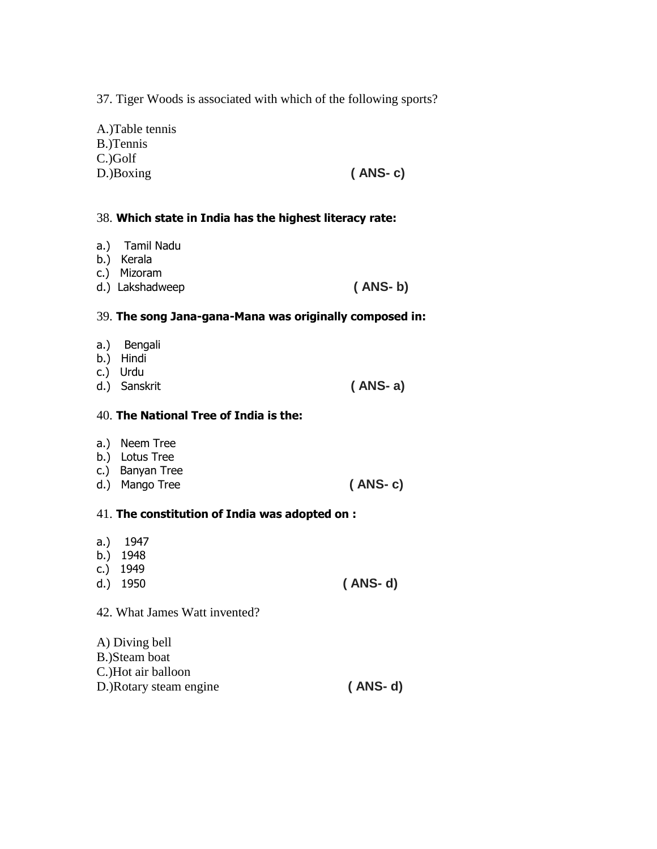37. Tiger Woods is associated with which of the following sports?

| $(ANS-c)$ |
|-----------|
|           |

#### 38. **Which state in India has the highest literacy rate:**

- a.) Tamil Nadu
- b.) Kerala
- c.) Mizoram
- d.) Lakshadweep **( ANS- b)**

#### 39. **The song Jana-gana-Mana was originally composed in:**

- a.) Bengali
- b.) Hindi
- c.) Urdu
- d.) Sanskrit **( ANS- a)**

#### 40. **The National Tree of India is the:**

- a.) Neem Tree
- b.) Lotus Tree
- c.) Banyan Tree
- d.) Mango Tree **( ANS- c)**
- 41. **The constitution of India was adopted on :**
- a.) 1947
- b.) 1948
- c.) 1949
- d.) 1950 **( ANS- d)**
- 42. What James Watt invented?

| A) Diving bell          |           |
|-------------------------|-----------|
| B.)Steam boat           |           |
| C.)Hot air balloon      |           |
| D.) Rotary steam engine | $(ANS-d)$ |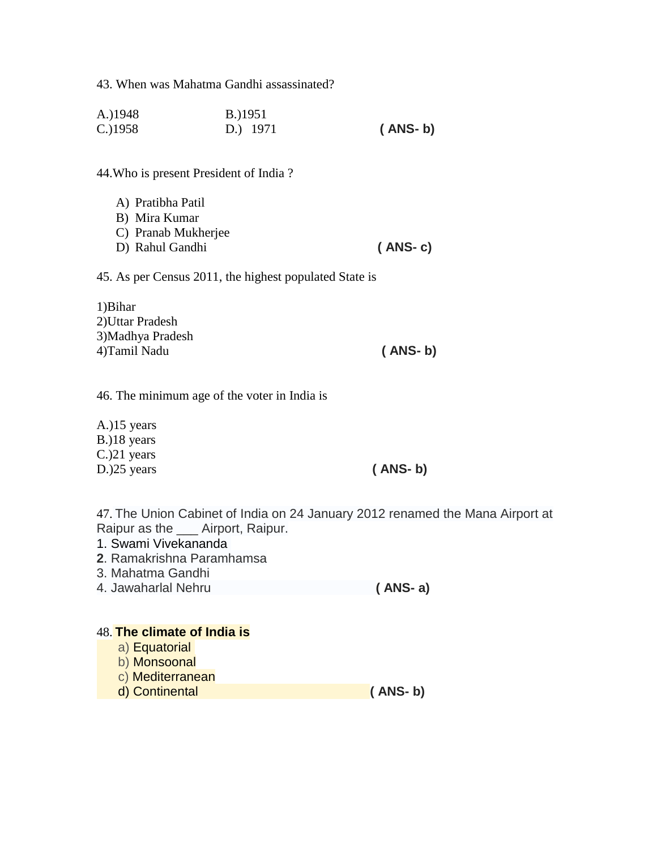43. When was Mahatma Gandhi assassinated?

| A.)1948    | B.)1951  |           |
|------------|----------|-----------|
| $C.$ )1958 | D.) 1971 | $(ANS-b)$ |

44.Who is present President of India ?

| A) Pratibha Patil   |           |
|---------------------|-----------|
| B) Mira Kumar       |           |
| C) Pranab Mukherjee |           |
| D) Rahul Gandhi     | $(ANS-c)$ |

45. As per Census 2011, the highest populated State is

| 1) Bihar         |           |
|------------------|-----------|
| 2)Uttar Pradesh  |           |
| 3)Madhya Pradesh |           |
| 4)Tamil Nadu     | $(ANS-b)$ |

46. The minimum age of the voter in India is

A.)15 years B.)18 years C.)21 years D.)25 years **( ANS- b)**

47. The Union Cabinet of India on 24 January 2012 renamed the Mana Airport at Raipur as the \_\_\_ Airport, Raipur.

- 1. Swami Vivekananda
- **2**. Ramakrishna Paramhamsa
- 3. Mahatma Gandhi
- 4. Jawaharlal Nehru **( ANS- a)**

## 48. **The climate of India is**

- a) Equatorial
- b) Monsoonal
- c) Mediterranean
- d) Continental **( ANS- b)**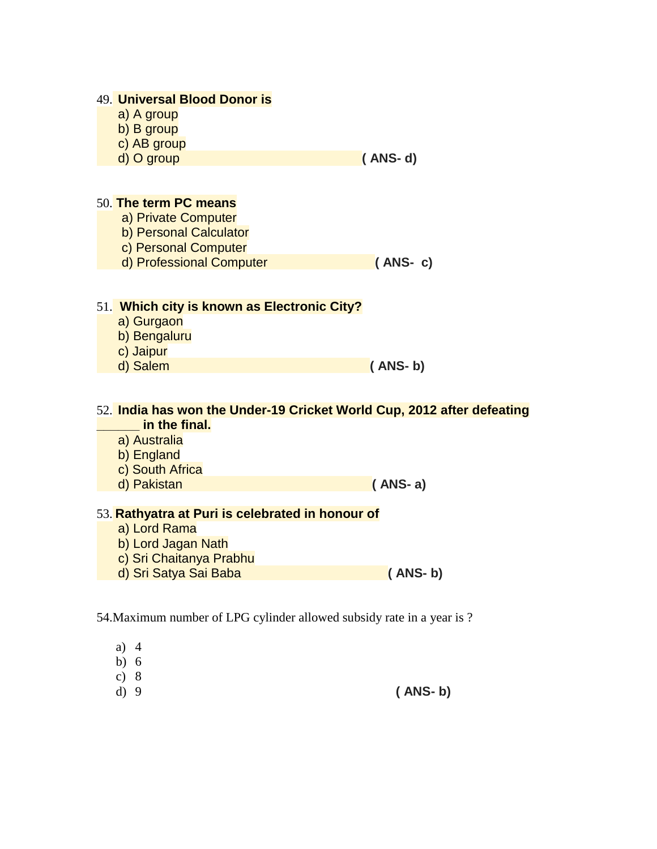## 49. **Universal Blood Donor is**

- a) A group
- b) B group
- c) AB group
- d) O group **( ANS- d)**

# 50. **The term PC means**

- a) Private Computer
- b) Personal Calculator
- c) Personal Computer
- d) Professional Computer **( ANS- c)**

# 51. **Which city is known as Electronic City?**

- a) Gurgaon
- b) Bengaluru
- c) Jaipur
- 

#### d) Salem **( ANS- b)**

#### 52. **India has won the Under-19 Cricket World Cup, 2012 after defeating \_\_\_\_\_\_ in the final.**

- a) Australia
- b) England
- c) South Africa
- d) Pakistan **( ANS- a)**

# 53. **Rathyatra at Puri is celebrated in honour of**

- a) Lord Rama
- b) Lord Jagan Nath
- c) Sri Chaitanya Prabhu
- d) Sri Satya Sai Baba **( ANS- b)**

# 54.Maximum number of LPG cylinder allowed subsidy rate in a year is ?

- a) 4
- b) 6
- c) 8
- d) 9 **( ANS- b)**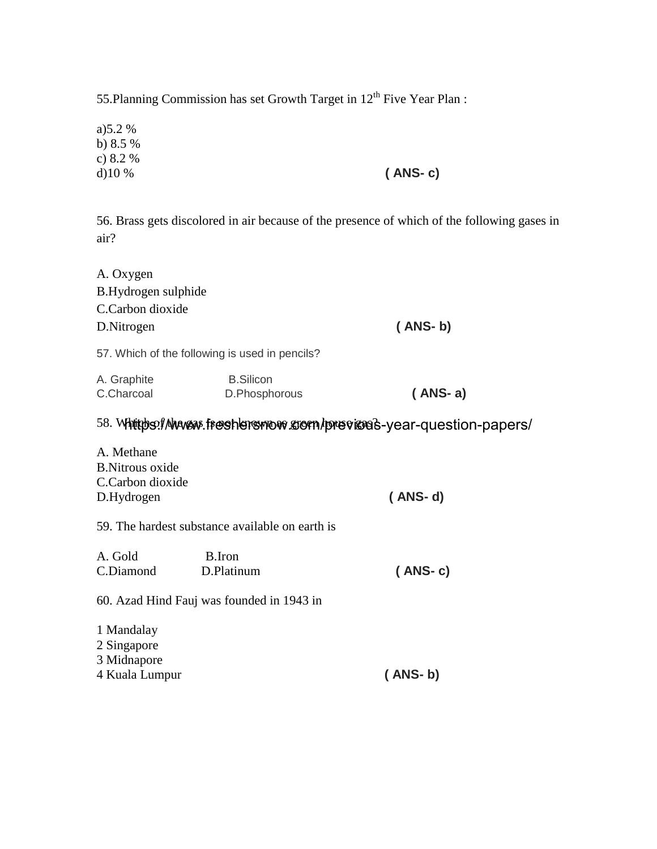55.Planning Commission has set Growth Target in 12<sup>th</sup> Five Year Plan :

a)5.2 % b) 8.5 % c) 8.2 % d)10 % **( ANS- c)**

56. Brass gets discolored in air because of the presence of which of the following gases in air?

| A. Oxygen           |                                                |                                                                             |  |
|---------------------|------------------------------------------------|-----------------------------------------------------------------------------|--|
| B.Hydrogen sulphide |                                                |                                                                             |  |
| C.Carbon dioxide    |                                                |                                                                             |  |
| D. Nitrogen         |                                                | $(ANS-b)$                                                                   |  |
|                     | 57. Which of the following is used in pencils? |                                                                             |  |
| A. Graphite         | <b>B.Silicon</b>                               |                                                                             |  |
| C.Charcoal          | D.Phosphorous                                  | $(ANS-a)$                                                                   |  |
|                     |                                                | 58. Whittibs: I Muxew: freeshlers mow grom / previous-year-question-papers/ |  |
| A Mathana           |                                                |                                                                             |  |

| A. Methane              |           |
|-------------------------|-----------|
| <b>B.</b> Nitrous oxide |           |
| C.Carbon dioxide        |           |
| D.Hydrogen              | $(ANS-d)$ |
|                         |           |

# 59. The hardest substance available on earth is

| A. Gold<br>C.Diamond                     | B.Iron<br>D.Platinum                      | $(ANS-c)$ |
|------------------------------------------|-------------------------------------------|-----------|
|                                          | 60. Azad Hind Fauj was founded in 1943 in |           |
| 1 Mandalay<br>2 Singapore<br>3 Midnapore |                                           |           |

4 Kuala Lumpur **( ANS- b)**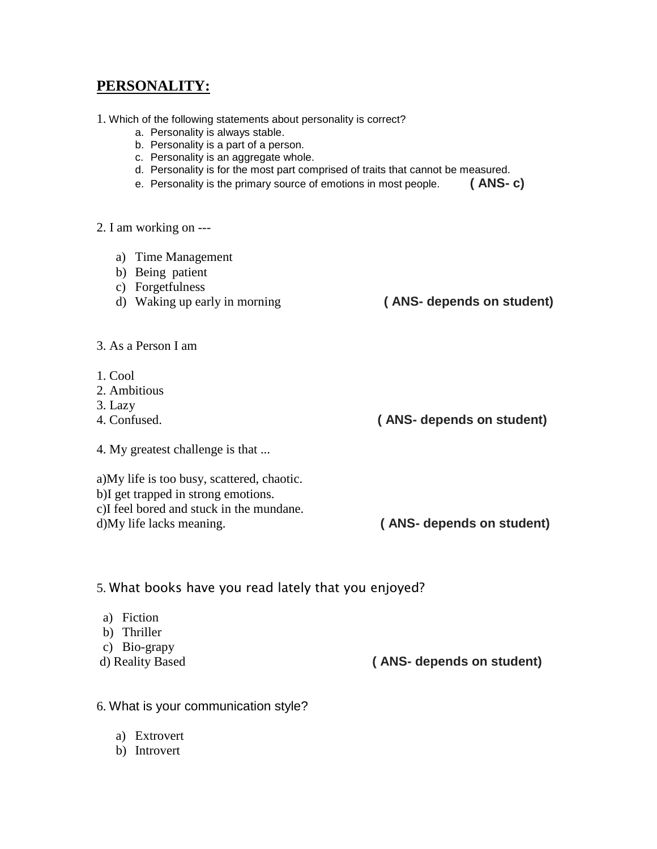# **PERSONALITY:**

- 1. Which of the following statements about personality is correct?
	- a. Personality is always stable.
	- b. Personality is a part of a person.
	- c. Personality is an aggregate whole.
	- d. Personality is for the most part comprised of traits that cannot be measured.
	- e. Personality is the primary source of emotions in most people. **( ANS- c)**

2. I am working on ---

- a) Time Management
- b) Being patient
- c) Forgetfulness
- d) Waking up early in morning **( ANS- depends on student)**
	-

- 3. As a Person I am
- 1. Cool
- 2. Ambitious
- 3. Lazy
- 
- 4. My greatest challenge is that ...
- a)My life is too busy, scattered, chaotic. b)I get trapped in strong emotions. c)I feel bored and stuck in the mundane.
- 

4. Confused. **( ANS- depends on student)**

d)My life lacks meaning. **( ANS- depends on student)**

#### 5. What books have you read lately that you enjoyed?

- a) Fiction
- b) Thriller
- c) Bio-grapy
- 

d) Reality Based **( ANS- depends on student)**

- 6. What is your communication style?
	- a) Extrovert
	- b) Introvert